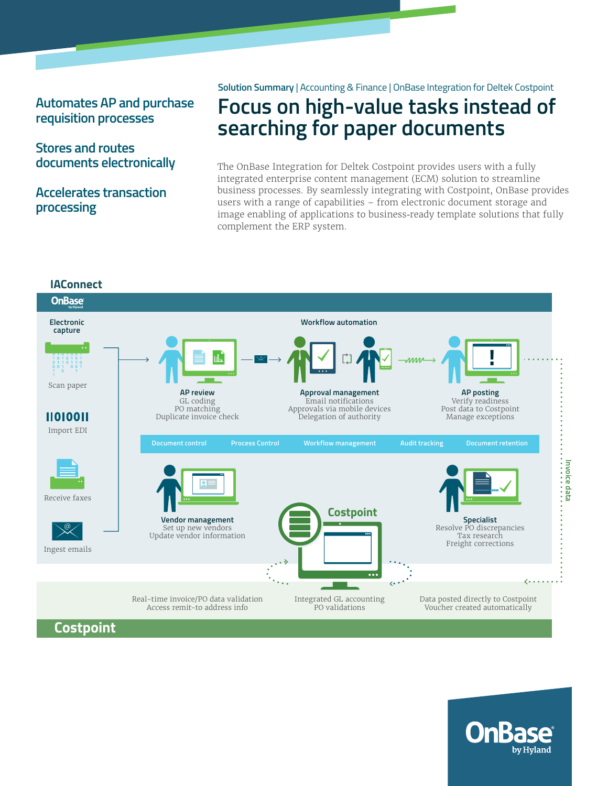## **Automates AP and purchase requisition processes**

## **Stores and routes documents electronically**

## **Accelerates transaction processing**

#### **Solution Summary** | Accounting & Finance | OnBase Integration for Deltek Costpoint

# **Focus on high-value tasks instead of searching for paper documents**

The OnBase Integration for Deltek Costpoint provides users with a fully integrated enterprise content management (ECM) solution to streamline business processes. By seamlessly integrating with Costpoint, OnBase provides users with a range of capabilities – from electronic document storage and image enabling of applications to business-ready template solutions that fully complement the ERP system.



**Costpoint**